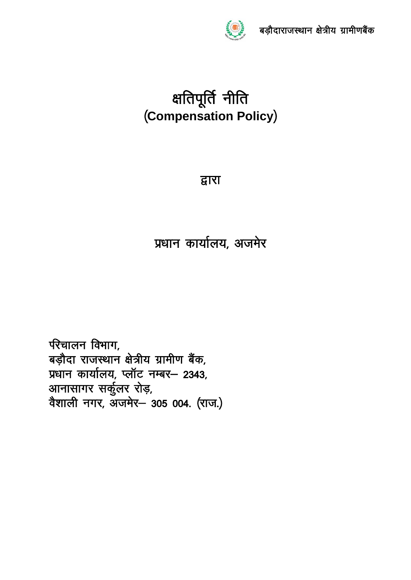

# क्षतिपूर्ति नीति (Compensation Policy)

# द्वारा

# प्रधान कार्यालय, अजमेर

परिचालन विभाग, बड़ौदा राजस्थान क्षेत्रीय ग्रामीण बैंक, प्रधान कार्यालय, प्लॉट नम्बर- 2343, .<br>आनासागर सर्कुलर रोड़,<br>वैशाली नगर, अजमेर– 305 004. (राज.)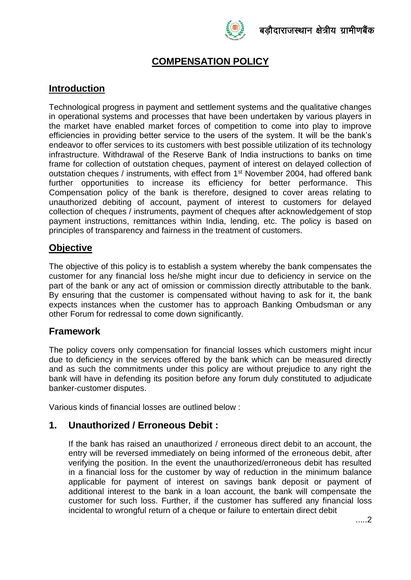

# **COMPENSATION POLICY**

# **Introduction**

Technological progress in payment and settlement systems and the qualitative changes in operational systems and processes that have been undertaken by various players in the market have enabled market forces of competition to come into play to improve efficiencies in providing better service to the users of the system. It will be the bank's endeavor to offer services to its customers with best possible utilization of its technology infrastructure. Withdrawal of the Reserve Bank of India instructions to banks on time frame for collection of outstation cheques, payment of interest on delayed collection of outstation cheques / instruments, with effect from 1<sup>st</sup> November 2004, had offered bank further opportunities to increase its efficiency for better performance. This Compensation policy of the bank is therefore, designed to cover areas relating to unauthorized debiting of account, payment of interest to customers for delayed collection of cheques / instruments, payment of cheques after acknowledgement of stop payment instructions, remittances within India, lending, etc. The policy is based on principles of transparency and fairness in the treatment of customers.

#### **Objective**

The objective of this policy is to establish a system whereby the bank compensates the customer for any financial loss he/she might incur due to deficiency in service on the part of the bank or any act of omission or commission directly attributable to the bank. By ensuring that the customer is compensated without having to ask for it, the bank expects instances when the customer has to approach Banking Ombudsman or any other Forum for redressal to come down significantly.

#### **Framework**

The policy covers only compensation for financial losses which customers might incur due to deficiency in the services offered by the bank which can be measured directly and as such the commitments under this policy are without prejudice to any right the bank will have in defending its position before any forum duly constituted to adjudicate banker-customer disputes.

Various kinds of financial losses are outlined below :

#### **1. Unauthorized / Erroneous Debit :**

If the bank has raised an unauthorized / erroneous direct debit to an account, the entry will be reversed immediately on being informed of the erroneous debit, after verifying the position. In the event the unauthorized/erroneous debit has resulted in a financial loss for the customer by way of reduction in the minimum balance applicable for payment of interest on savings bank deposit or payment of additional interest to the bank in a loan account, the bank will compensate the customer for such loss. Further, if the customer has suffered any financial loss incidental to wrongful return of a cheque or failure to entertain direct debit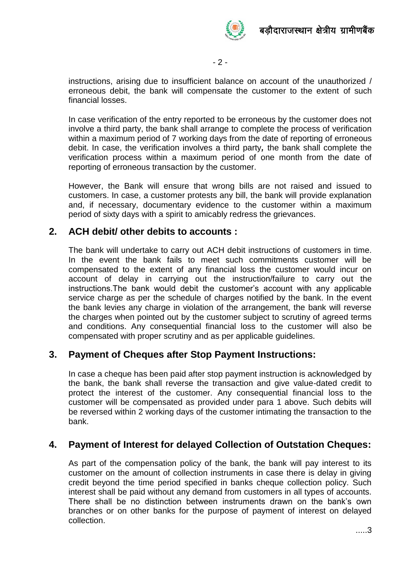

- 2 -

instructions, arising due to insufficient balance on account of the unauthorized / erroneous debit, the bank will compensate the customer to the extent of such financial losses.

In case verification of the entry reported to be erroneous by the customer does not involve a third party, the bank shall arrange to complete the process of verification within a maximum period of 7 working days from the date of reporting of erroneous debit. In case, the verification involves a third party*,* the bank shall complete the verification process within a maximum period of one month from the date of reporting of erroneous transaction by the customer.

However, the Bank will ensure that wrong bills are not raised and issued to customers. In case, a customer protests any bill, the bank will provide explanation and, if necessary, documentary evidence to the customer within a maximum period of sixty days with a spirit to amicably redress the grievances.

#### **2. ACH debit/ other debits to accounts :**

The bank will undertake to carry out ACH debit instructions of customers in time. In the event the bank fails to meet such commitments customer will be compensated to the extent of any financial loss the customer would incur on account of delay in carrying out the instruction/failure to carry out the instructions.The bank would debit the customer's account with any applicable service charge as per the schedule of charges notified by the bank. In the event the bank levies any charge in violation of the arrangement, the bank will reverse the charges when pointed out by the customer subject to scrutiny of agreed terms and conditions. Any consequential financial loss to the customer will also be compensated with proper scrutiny and as per applicable guidelines.

#### **3. Payment of Cheques after Stop Payment Instructions:**

In case a cheque has been paid after stop payment instruction is acknowledged by the bank, the bank shall reverse the transaction and give value-dated credit to protect the interest of the customer. Any consequential financial loss to the customer will be compensated as provided under para 1 above. Such debits will be reversed within 2 working days of the customer intimating the transaction to the bank.

#### **4. Payment of Interest for delayed Collection of Outstation Cheques:**

As part of the compensation policy of the bank, the bank will pay interest to its customer on the amount of collection instruments in case there is delay in giving credit beyond the time period specified in banks cheque collection policy. Such interest shall be paid without any demand from customers in all types of accounts. There shall be no distinction between instruments drawn on the bank's own branches or on other banks for the purpose of payment of interest on delayed collection.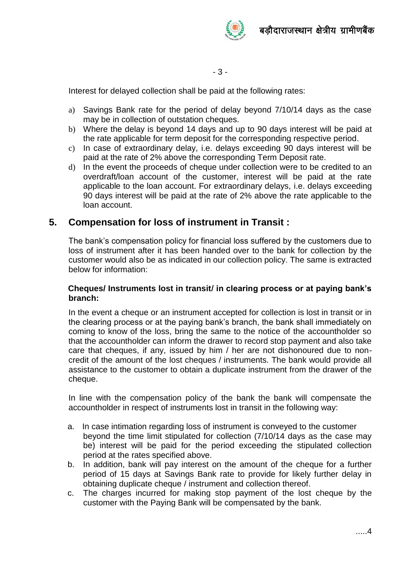



- 3 -

Interest for delayed collection shall be paid at the following rates:

- a) Savings Bank rate for the period of delay beyond 7/10/14 days as the case may be in collection of outstation cheques.
- b) Where the delay is beyond 14 days and up to 90 days interest will be paid at the rate applicable for term deposit for the corresponding respective period.
- c) In case of extraordinary delay, i.e. delays exceeding 90 days interest will be paid at the rate of 2% above the corresponding Term Deposit rate.
- d) In the event the proceeds of cheque under collection were to be credited to an overdraft/loan account of the customer, interest will be paid at the rate applicable to the loan account. For extraordinary delays, i.e. delays exceeding 90 days interest will be paid at the rate of 2% above the rate applicable to the loan account.

#### **5. Compensation for loss of instrument in Transit :**

The bank's compensation policy for financial loss suffered by the customers due to loss of instrument after it has been handed over to the bank for collection by the customer would also be as indicated in our collection policy. The same is extracted below for information:

#### **Cheques/ Instruments lost in transit/ in clearing process or at paying bank's branch:**

In the event a cheque or an instrument accepted for collection is lost in transit or in the clearing process or at the paying bank's branch, the bank shall immediately on coming to know of the loss, bring the same to the notice of the accountholder so that the accountholder can inform the drawer to record stop payment and also take care that cheques, if any, issued by him / her are not dishonoured due to noncredit of the amount of the lost cheques / instruments. The bank would provide all assistance to the customer to obtain a duplicate instrument from the drawer of the cheque.

In line with the compensation policy of the bank the bank will compensate the accountholder in respect of instruments lost in transit in the following way:

- a. In case intimation regarding loss of instrument is conveyed to the customer beyond the time limit stipulated for collection (7/10/14 days as the case may be) interest will be paid for the period exceeding the stipulated collection period at the rates specified above.
- b. In addition, bank will pay interest on the amount of the cheque for a further period of 15 days at Savings Bank rate to provide for likely further delay in obtaining duplicate cheque / instrument and collection thereof.
- c. The charges incurred for making stop payment of the lost cheque by the customer with the Paying Bank will be compensated by the bank.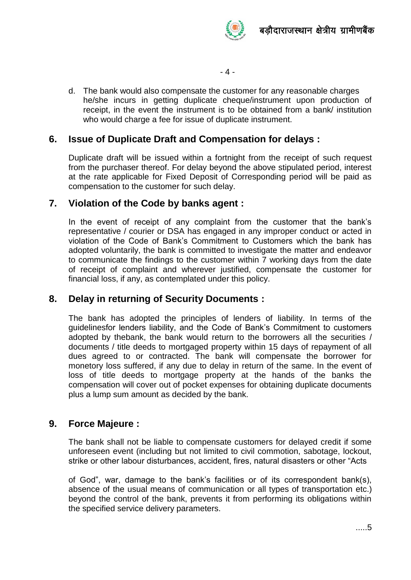

- 4 -

d. The bank would also compensate the customer for any reasonable charges he/she incurs in getting duplicate cheque/instrument upon production of receipt, in the event the instrument is to be obtained from a bank/ institution who would charge a fee for issue of duplicate instrument.

# **6. Issue of Duplicate Draft and Compensation for delays :**

Duplicate draft will be issued within a fortnight from the receipt of such request from the purchaser thereof. For delay beyond the above stipulated period, interest at the rate applicable for Fixed Deposit of Corresponding period will be paid as compensation to the customer for such delay.

#### **7. Violation of the Code by banks agent :**

In the event of receipt of any complaint from the customer that the bank's representative / courier or DSA has engaged in any improper conduct or acted in violation of the Code of Bank's Commitment to Customers which the bank has adopted voluntarily, the bank is committed to investigate the matter and endeavor to communicate the findings to the customer within 7 working days from the date of receipt of complaint and wherever justified, compensate the customer for financial loss, if any, as contemplated under this policy.

# **8. Delay in returning of Security Documents :**

The bank has adopted the principles of lenders of liability. In terms of the guidelinesfor lenders liability, and the Code of Bank's Commitment to customers adopted by thebank, the bank would return to the borrowers all the securities / documents / title deeds to mortgaged property within 15 days of repayment of all dues agreed to or contracted. The bank will compensate the borrower for monetory loss suffered, if any due to delay in return of the same. In the event of loss of title deeds to mortgage property at the hands of the banks the compensation will cover out of pocket expenses for obtaining duplicate documents plus a lump sum amount as decided by the bank.

# **9. Force Majeure :**

The bank shall not be liable to compensate customers for delayed credit if some unforeseen event (including but not limited to civil commotion, sabotage, lockout, strike or other labour disturbances, accident, fires, natural disasters or other "Acts

of God", war, damage to the bank's facilities or of its correspondent bank(s), absence of the usual means of communication or all types of transportation etc.) beyond the control of the bank, prevents it from performing its obligations within the specified service delivery parameters.